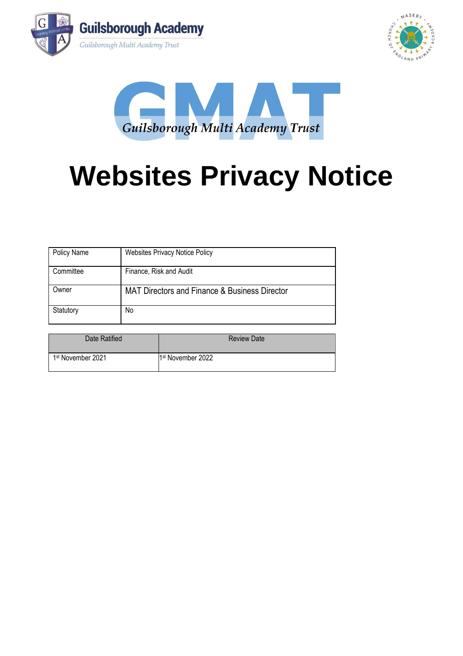





# **Websites Privacy Notice**

| Policy Name | <b>Websites Privacy Notice Policy</b>                    |
|-------------|----------------------------------------------------------|
| Committee   | Finance, Risk and Audit                                  |
| Owner       | <b>MAT Directors and Finance &amp; Business Director</b> |
| Statutory   | No                                                       |

| Date Ratified                 | <b>Review Date</b>            |
|-------------------------------|-------------------------------|
| 1 <sup>st</sup> November 2021 | 1 <sup>st</sup> November 2022 |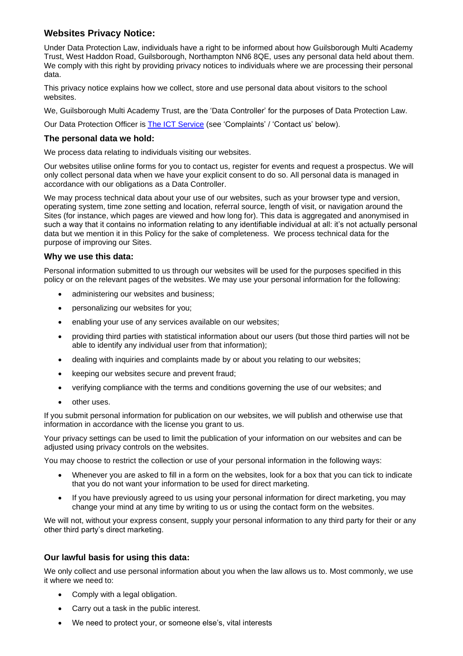# **Websites Privacy Notice:**

Under Data Protection Law, individuals have a right to be informed about how Guilsborough Multi Academy Trust, West Haddon Road, Guilsborough, Northampton NN6 8QE, uses any personal data held about them. We comply with this right by providing privacy notices to individuals where we are processing their personal data.

This privacy notice explains how we collect, store and use personal data about visitors to the school websites.

We, Guilsborough Multi Academy Trust, are the 'Data Controller' for the purposes of Data Protection Law.

Our Data Protection Officer is [The ICT Service](https://theictservice.org.uk/service/gdpr-dpo-service) (see 'Complaints' / 'Contact us' below).

# **The personal data we hold:**

We process data relating to individuals visiting our websites.

Our websites utilise online forms for you to contact us, register for events and request a prospectus. We will only collect personal data when we have your explicit consent to do so. All personal data is managed in accordance with our obligations as a Data Controller.

We may process technical data about your use of our websites, such as your browser type and version, operating system, time zone setting and location, referral source, length of visit, or navigation around the Sites (for instance, which pages are viewed and how long for). This data is aggregated and anonymised in such a way that it contains no information relating to any identifiable individual at all: it's not actually personal data but we mention it in this Policy for the sake of completeness. We process technical data for the purpose of improving our Sites.

# **Why we use this data:**

Personal information submitted to us through our websites will be used for the purposes specified in this policy or on the relevant pages of the websites. We may use your personal information for the following:

- administering our websites and business;
- personalizing our websites for you;
- enabling your use of any services available on our websites;
- providing third parties with statistical information about our users (but those third parties will not be able to identify any individual user from that information);
- dealing with inquiries and complaints made by or about you relating to our websites;
- keeping our websites secure and prevent fraud;
- verifying compliance with the terms and conditions governing the use of our websites; and
- other uses.

If you submit personal information for publication on our websites, we will publish and otherwise use that information in accordance with the license you grant to us.

Your privacy settings can be used to limit the publication of your information on our websites and can be adjusted using privacy controls on the websites.

You may choose to restrict the collection or use of your personal information in the following ways:

- Whenever you are asked to fill in a form on the websites, look for a box that you can tick to indicate that you do not want your information to be used for direct marketing.
- If you have previously agreed to us using your personal information for direct marketing, you may change your mind at any time by writing to us or using the contact form on the websites.

We will not, without your express consent, supply your personal information to any third party for their or any other third party's direct marketing.

# **Our lawful basis for using this data:**

We only collect and use personal information about you when the law allows us to. Most commonly, we use it where we need to:

- Comply with a legal obligation.
- Carry out a task in the public interest.
- We need to protect your, or someone else's, vital interests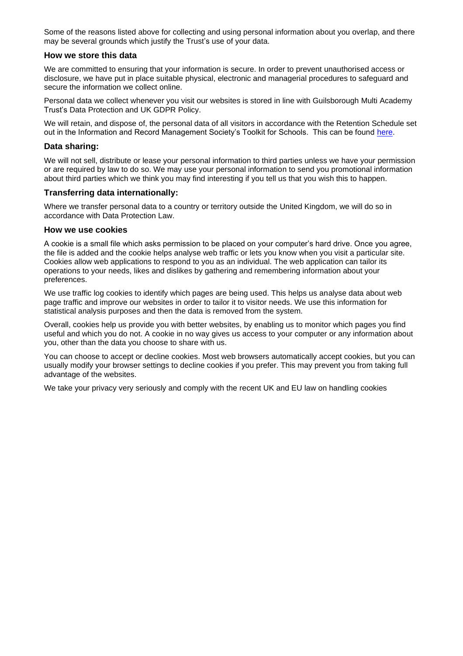Some of the reasons listed above for collecting and using personal information about you overlap, and there may be several grounds which justify the Trust's use of your data.

#### **How we store this data**

We are committed to ensuring that your information is secure. In order to prevent unauthorised access or disclosure, we have put in place suitable physical, electronic and managerial procedures to safeguard and secure the information we collect online.

Personal data we collect whenever you visit our websites is stored in line with Guilsborough Multi Academy Trust's Data Protection and UK GDPR Policy.

We will retain, and dispose of, the personal data of all visitors in accordance with the Retention Schedule set out in the Information and Record Management Society's Toolkit for Schools. This can be found [here.](https://irms.org.uk/page/AcademiesToolkit)

#### **Data sharing:**

We will not sell, distribute or lease your personal information to third parties unless we have your permission or are required by law to do so. We may use your personal information to send you promotional information about third parties which we think you may find interesting if you tell us that you wish this to happen.

#### **Transferring data internationally:**

Where we transfer personal data to a country or territory outside the United Kingdom, we will do so in accordance with Data Protection Law.

#### **How we use cookies**

A cookie is a small file which asks permission to be placed on your computer's hard drive. Once you agree, the file is added and the cookie helps analyse web traffic or lets you know when you visit a particular site. Cookies allow web applications to respond to you as an individual. The web application can tailor its operations to your needs, likes and dislikes by gathering and remembering information about your preferences.

We use traffic log cookies to identify which pages are being used. This helps us analyse data about web page traffic and improve our websites in order to tailor it to visitor needs. We use this information for statistical analysis purposes and then the data is removed from the system.

Overall, cookies help us provide you with better websites, by enabling us to monitor which pages you find useful and which you do not. A cookie in no way gives us access to your computer or any information about you, other than the data you choose to share with us.

You can choose to accept or decline cookies. Most web browsers automatically accept cookies, but you can usually modify your browser settings to decline cookies if you prefer. This may prevent you from taking full advantage of the websites.

We take your privacy very seriously and comply with the recent UK and EU law on handling cookies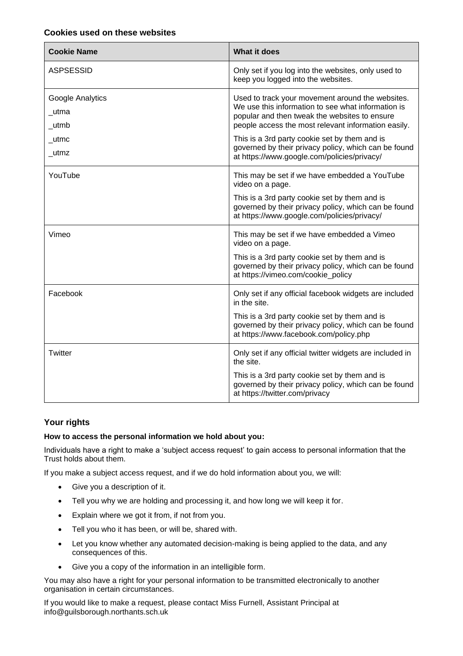# **Cookies used on these websites**

| <b>Cookie Name</b>                | <b>What it does</b>                                                                                                                                                                                            |
|-----------------------------------|----------------------------------------------------------------------------------------------------------------------------------------------------------------------------------------------------------------|
| <b>ASPSESSID</b>                  | Only set if you log into the websites, only used to<br>keep you logged into the websites.                                                                                                                      |
| Google Analytics<br>utma<br>_utmb | Used to track your movement around the websites.<br>We use this information to see what information is<br>popular and then tweak the websites to ensure<br>people access the most relevant information easily. |
| $\_$ utmc<br>$\_$ utmz            | This is a 3rd party cookie set by them and is<br>governed by their privacy policy, which can be found<br>at https://www.google.com/policies/privacy/                                                           |
| YouTube                           | This may be set if we have embedded a YouTube<br>video on a page.                                                                                                                                              |
|                                   | This is a 3rd party cookie set by them and is<br>governed by their privacy policy, which can be found<br>at https://www.google.com/policies/privacy/                                                           |
| Vimeo                             | This may be set if we have embedded a Vimeo<br>video on a page.                                                                                                                                                |
|                                   | This is a 3rd party cookie set by them and is<br>governed by their privacy policy, which can be found<br>at https://vimeo.com/cookie_policy                                                                    |
| Facebook                          | Only set if any official facebook widgets are included<br>in the site.                                                                                                                                         |
|                                   | This is a 3rd party cookie set by them and is<br>governed by their privacy policy, which can be found<br>at https://www.facebook.com/policy.php                                                                |
| Twitter                           | Only set if any official twitter widgets are included in<br>the site.                                                                                                                                          |
|                                   | This is a 3rd party cookie set by them and is<br>governed by their privacy policy, which can be found<br>at https://twitter.com/privacy                                                                        |

# **Your rights**

# **How to access the personal information we hold about you:**

Individuals have a right to make a 'subject access request' to gain access to personal information that the Trust holds about them.

If you make a subject access request, and if we do hold information about you, we will:

- Give you a description of it.
- Tell you why we are holding and processing it, and how long we will keep it for.
- Explain where we got it from, if not from you.
- Tell you who it has been, or will be, shared with.
- Let you know whether any automated decision-making is being applied to the data, and any consequences of this.
- Give you a copy of the information in an intelligible form.

You may also have a right for your personal information to be transmitted electronically to another organisation in certain circumstances.

If you would like to make a request, please contact Miss Furnell, Assistant Principal at info@guilsborough.northants.sch.uk